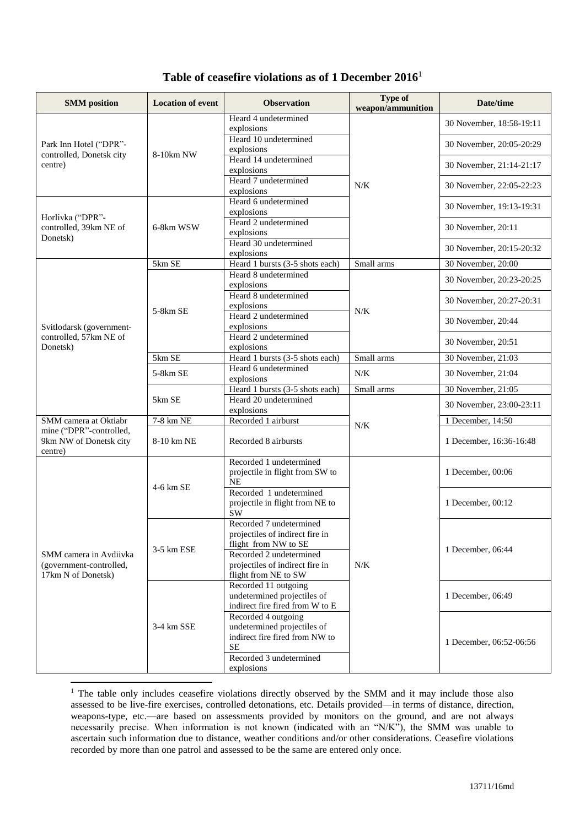## **Table of ceasefire violations as of 1 December 2016**<sup>1</sup>

| <b>SMM</b> position                                                     | <b>Location of event</b>              | <b>Observation</b>                                                                                                                                                       | Type of<br>weapon/ammunition | Date/time                |
|-------------------------------------------------------------------------|---------------------------------------|--------------------------------------------------------------------------------------------------------------------------------------------------------------------------|------------------------------|--------------------------|
| Park Inn Hotel ("DPR"-<br>controlled, Donetsk city<br>centre)           | 8-10km NW                             | Heard 4 undetermined<br>explosions                                                                                                                                       | N/K                          | 30 November, 18:58-19:11 |
|                                                                         |                                       | Heard 10 undetermined<br>explosions                                                                                                                                      |                              | 30 November, 20:05-20:29 |
|                                                                         |                                       | Heard 14 undetermined<br>explosions                                                                                                                                      |                              | 30 November, 21:14-21:17 |
|                                                                         |                                       | Heard 7 undetermined<br>explosions                                                                                                                                       |                              | 30 November, 22:05-22:23 |
| Horlivka ("DPR"-<br>controlled, 39km NE of<br>Donetsk)                  | 6-8km WSW                             | Heard 6 undetermined<br>explosions                                                                                                                                       |                              | 30 November, 19:13-19:31 |
|                                                                         |                                       | Heard 2 undetermined<br>explosions                                                                                                                                       |                              | 30 November, 20:11       |
|                                                                         |                                       | Heard 30 undetermined<br>explosions                                                                                                                                      |                              | 30 November, 20:15-20:32 |
|                                                                         | 5km SE                                | Heard 1 bursts (3-5 shots each)                                                                                                                                          | Small arms                   | 30 November, 20:00       |
|                                                                         |                                       | Heard 8 undetermined<br>explosions                                                                                                                                       |                              | 30 November, 20:23-20:25 |
| Svitlodarsk (government-<br>controlled, 57km NE of<br>Donetsk)          | 5-8km SE                              | Heard 8 undetermined<br>explosions                                                                                                                                       | N/K                          | 30 November, 20:27-20:31 |
|                                                                         |                                       | Heard 2 undetermined<br>explosions                                                                                                                                       |                              | 30 November, 20:44       |
|                                                                         |                                       | Heard 2 undetermined<br>explosions                                                                                                                                       |                              | 30 November, 20:51       |
|                                                                         | $5\overline{\mathrm{km}~\mathrm{SE}}$ | Heard 1 bursts (3-5 shots each)                                                                                                                                          | Small arms                   | 30 November, 21:03       |
|                                                                         | 5-8km SE                              | Heard 6 undetermined<br>explosions                                                                                                                                       | N/K                          | 30 November, 21:04       |
|                                                                         |                                       | Heard 1 bursts (3-5 shots each)                                                                                                                                          | Small arms                   | 30 November, 21:05       |
|                                                                         | 5km SE                                | Heard 20 undetermined<br>explosions                                                                                                                                      |                              | 30 November, 23:00-23:11 |
| SMM camera at Oktiabr                                                   | 7-8 km NE                             | Recorded 1 airburst                                                                                                                                                      |                              | 1 December, 14:50        |
| mine ("DPR"-controlled,<br>9km NW of Donetsk city<br>centre)            | 8-10 km NE                            | Recorded 8 airbursts                                                                                                                                                     | $N/K$                        | 1 December, 16:36-16:48  |
| SMM camera in Avdiivka<br>(government-controlled,<br>17km N of Donetsk) | 4-6 km SE                             | Recorded 1 undetermined<br>projectile in flight from SW to<br><b>NE</b>                                                                                                  | N/K                          | 1 December, 00:06        |
|                                                                         |                                       | Recorded 1 undetermined<br>projectile in flight from NE to<br><b>SW</b>                                                                                                  |                              | 1 December, 00:12        |
|                                                                         | 3-5 km ESE                            | Recorded 7 undetermined<br>projectiles of indirect fire in<br>flight from NW to SE<br>Recorded 2 undetermined<br>projectiles of indirect fire in<br>flight from NE to SW |                              | 1 December, 06:44        |
|                                                                         | 3-4 km SSE                            | Recorded 11 outgoing<br>undetermined projectiles of<br>indirect fire fired from W to E                                                                                   |                              | 1 December, 06:49        |
|                                                                         |                                       | Recorded 4 outgoing<br>undetermined projectiles of<br>indirect fire fired from NW to<br>$\rm SE$<br>Recorded 3 undetermined<br>explosions                                |                              | 1 December, 06:52-06:56  |

<sup>1</sup> The table only includes ceasefire violations directly observed by the SMM and it may include those also assessed to be live-fire exercises, controlled detonations, etc. Details provided—in terms of distance, direction, weapons-type, etc.—are based on assessments provided by monitors on the ground, and are not always necessarily precise. When information is not known (indicated with an "N/K"), the SMM was unable to ascertain such information due to distance, weather conditions and/or other considerations. Ceasefire violations recorded by more than one patrol and assessed to be the same are entered only once.

1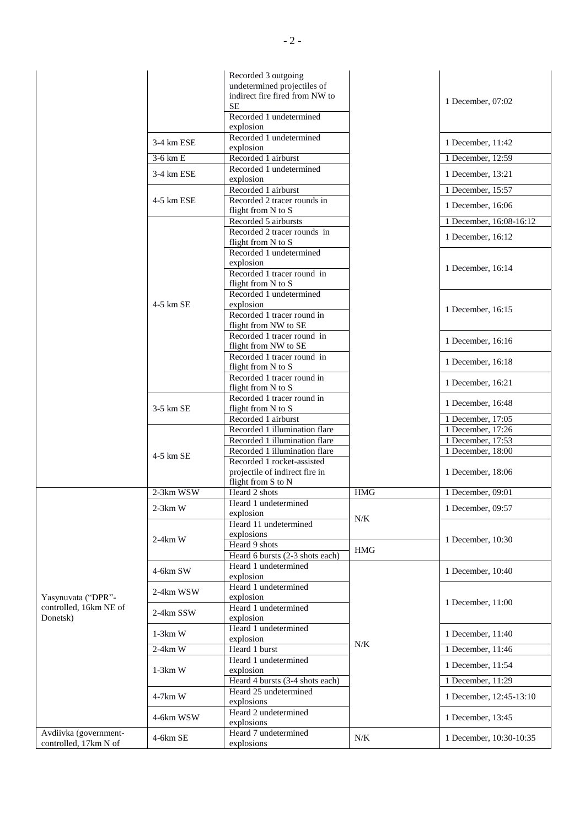|                                                          |                         | Recorded 3 outgoing<br>undetermined projectiles of<br>indirect fire fired from NW to<br><b>SE</b><br>Recorded 1 undetermined<br>explosion |            | 1 December, 07:02                      |
|----------------------------------------------------------|-------------------------|-------------------------------------------------------------------------------------------------------------------------------------------|------------|----------------------------------------|
|                                                          | 3-4 km ESE              | Recorded 1 undetermined                                                                                                                   |            | 1 December, 11:42                      |
|                                                          | 3-6 km E                | explosion<br>Recorded 1 airburst                                                                                                          |            | 1 December, 12:59                      |
|                                                          |                         | Recorded 1 undetermined                                                                                                                   |            |                                        |
|                                                          | $3-4$ km ESE            | explosion                                                                                                                                 |            | 1 December, 13:21                      |
|                                                          |                         | Recorded 1 airburst                                                                                                                       |            | 1 December, 15:57                      |
|                                                          | 4-5 km ESE<br>4-5 km SE | Recorded 2 tracer rounds in<br>flight from N to S                                                                                         |            | 1 December, 16:06                      |
|                                                          |                         | Recorded 5 airbursts                                                                                                                      |            | 1 December, 16:08-16:12                |
|                                                          |                         | Recorded 2 tracer rounds in<br>flight from N to S                                                                                         |            | 1 December, 16:12                      |
|                                                          |                         | Recorded 1 undetermined<br>explosion                                                                                                      |            |                                        |
|                                                          |                         | Recorded 1 tracer round in<br>flight from N to S                                                                                          |            | 1 December, 16:14                      |
|                                                          |                         | Recorded 1 undetermined<br>explosion<br>Recorded 1 tracer round in                                                                        |            | 1 December, 16:15                      |
|                                                          |                         | flight from NW to SE<br>Recorded 1 tracer round in<br>flight from NW to SE                                                                |            | 1 December, 16:16                      |
|                                                          |                         | Recorded 1 tracer round in<br>flight from N to S                                                                                          |            | 1 December, 16:18                      |
|                                                          |                         | Recorded 1 tracer round in<br>flight from N to S                                                                                          |            | 1 December, 16:21                      |
|                                                          | $3-5$ km SE             | Recorded 1 tracer round in<br>flight from N to S                                                                                          |            | 1 December, 16:48                      |
|                                                          |                         | Recorded 1 airburst                                                                                                                       |            | 1 December, 17:05                      |
|                                                          |                         | Recorded 1 illumination flare<br>Recorded 1 illumination flare                                                                            |            | 1 December, 17:26<br>1 December, 17:53 |
|                                                          |                         | Recorded 1 illumination flare                                                                                                             |            | 1 December, 18:00                      |
|                                                          | $4-5$ km SE             | Recorded 1 rocket-assisted<br>projectile of indirect fire in<br>flight from S to N                                                        |            | 1 December, 18:06                      |
|                                                          | $2-3km$ WSW             | Heard 2 shots                                                                                                                             | <b>HMG</b> | 1 December, 09:01                      |
|                                                          | $2-3km$ W               | Heard 1 undetermined<br>explosion                                                                                                         | N/K        | 1 December, 09:57                      |
|                                                          | $2-4km$ W               | Heard 11 undetermined<br>explosions<br>Heard 9 shots<br>Heard 6 bursts (2-3 shots each)                                                   | <b>HMG</b> | 1 December, 10:30                      |
|                                                          | $4-6km$ SW              | Heard 1 undetermined<br>explosion                                                                                                         |            | 1 December, 10:40                      |
| Yasynuvata ("DPR"-<br>controlled, 16km NE of<br>Donetsk) | 2-4km WSW               | Heard 1 undetermined<br>explosion                                                                                                         |            |                                        |
|                                                          | 2-4km SSW               | Heard 1 undetermined<br>explosion                                                                                                         |            | 1 December, 11:00                      |
|                                                          | $1-3km$ W               | Heard 1 undetermined<br>explosion                                                                                                         |            | 1 December, 11:40                      |
|                                                          | $2-4km$ W               | Heard 1 burst                                                                                                                             | N/K        | 1 December, 11:46                      |
|                                                          | $1-3km$ W               | Heard 1 undetermined<br>explosion                                                                                                         |            | 1 December, 11:54                      |
|                                                          |                         | Heard 4 bursts (3-4 shots each)                                                                                                           |            | 1 December, 11:29                      |
|                                                          | $4-7km$ W               | Heard 25 undetermined<br>explosions                                                                                                       |            | 1 December, 12:45-13:10                |
|                                                          | 4-6km WSW               | Heard 2 undetermined<br>explosions                                                                                                        |            | 1 December, 13:45                      |
| Avdiivka (government-<br>controlled, 17km N of           | 4-6km SE                | Heard 7 undetermined<br>explosions                                                                                                        | N/K        | 1 December, 10:30-10:35                |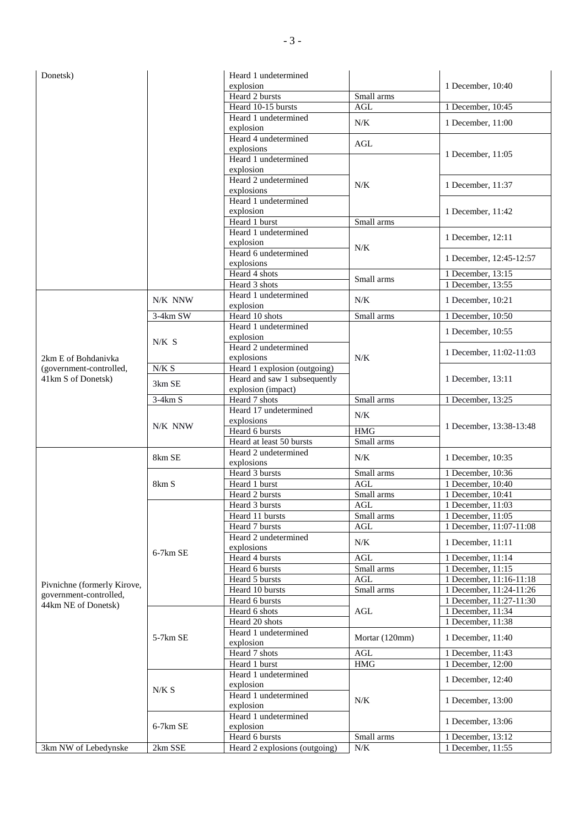| Donetsk)                                      |            | Heard 1 undetermined               |                      |                         |
|-----------------------------------------------|------------|------------------------------------|----------------------|-------------------------|
|                                               |            | explosion                          |                      | 1 December, 10:40       |
|                                               |            | Heard 2 bursts                     | Small arms           |                         |
|                                               |            | Heard 10-15 bursts                 | <b>AGL</b>           | 1 December, 10:45       |
|                                               |            | Heard 1 undetermined               | N/K                  | 1 December, 11:00       |
|                                               |            | explosion                          |                      |                         |
|                                               |            | Heard 4 undetermined               | $\operatorname{AGL}$ | 1 December, 11:05       |
|                                               |            | explosions                         |                      |                         |
|                                               |            | Heard 1 undetermined               |                      |                         |
|                                               |            | explosion<br>Heard 2 undetermined  |                      |                         |
|                                               |            | explosions                         | N/K                  | 1 December, 11:37       |
|                                               |            | Heard 1 undetermined               |                      |                         |
|                                               |            | explosion                          |                      | 1 December, 11:42       |
|                                               |            | Heard 1 burst                      | Small arms           |                         |
|                                               |            | Heard 1 undetermined               |                      |                         |
|                                               |            | explosion                          |                      | 1 December, 12:11       |
|                                               |            | Heard 6 undetermined               | N/K                  |                         |
|                                               |            | explosions                         |                      | 1 December, 12:45-12:57 |
|                                               |            | Heard 4 shots                      |                      | 1 December, 13:15       |
|                                               |            | Heard 3 shots                      | Small arms           | 1 December, 13:55       |
|                                               | N/K NNW    | Heard 1 undetermined               | N/K                  |                         |
|                                               |            | explosion                          |                      | 1 December, 10:21       |
|                                               | 3-4km SW   | Heard 10 shots                     | Small arms           | 1 December, 10:50       |
|                                               |            | Heard 1 undetermined               |                      | 1 December, 10:55       |
|                                               | $N/K$ S    | explosion                          |                      |                         |
|                                               |            | Heard 2 undetermined               |                      | 1 December, 11:02-11:03 |
| 2km E of Bohdanivka                           |            | explosions                         | N/K                  |                         |
| (government-controlled,                       | N/K S      | Heard 1 explosion (outgoing)       |                      |                         |
| 41km S of Donetsk)                            | 3km SE     | Heard and saw 1 subsequently       |                      | 1 December, 13:11       |
|                                               |            | explosion (impact)                 |                      |                         |
|                                               | $3-4km S$  | Heard 7 shots                      | Small arms           | 1 December, 13:25       |
|                                               |            | Heard 17 undetermined              | N/K                  |                         |
|                                               | N/K NNW    | explosions                         | <b>HMG</b>           | 1 December, 13:38-13:48 |
|                                               |            | Heard 6 bursts                     |                      |                         |
|                                               |            | Heard at least 50 bursts           | Small arms           |                         |
|                                               | 8km SE     | Heard 2 undetermined<br>explosions | N/K                  | 1 December, 10:35       |
|                                               |            | Heard 3 bursts                     | Small arms           | 1 December, 10:36       |
|                                               | 8km S      | Heard 1 burst                      | $\operatorname{AGL}$ | 1 December, 10:40       |
|                                               |            | Heard 2 bursts                     | Small arms           | 1 December, 10:41       |
|                                               |            | Heard 3 bursts                     | AGL                  | 1 December, 11:03       |
|                                               |            | Heard 11 bursts                    | Small arms           | 1 December, 11:05       |
|                                               |            | Heard 7 bursts                     | AGL                  | 1 December, 11:07-11:08 |
|                                               | $6-7km$ SE | Heard 2 undetermined               |                      |                         |
|                                               |            | explosions                         | N/K                  | 1 December, 11:11       |
|                                               |            | Heard 4 bursts                     | AGL                  | 1 December, 11:14       |
|                                               |            | Heard 6 bursts                     | Small arms           | 1 December, 11:15       |
|                                               |            | Heard 5 bursts                     | AGL                  | 1 December, 11:16-11:18 |
| Pivnichne (formerly Kirove,                   |            | Heard 10 bursts                    | Small arms           | 1 December, 11:24-11:26 |
| government-controlled,<br>44km NE of Donetsk) |            | Heard 6 bursts                     |                      | 1 December, 11:27-11:30 |
|                                               | 5-7km SE   | Heard 6 shots                      | $\operatorname{AGL}$ | 1 December, 11:34       |
|                                               |            | Heard 20 shots                     |                      | 1 December, 11:38       |
|                                               |            | Heard 1 undetermined               |                      |                         |
|                                               |            | explosion                          | Mortar (120mm)       | 1 December, 11:40       |
|                                               |            | Heard 7 shots                      | AGL                  | 1 December, 11:43       |
|                                               |            | Heard 1 burst                      | <b>HMG</b>           | 1 December, 12:00       |
|                                               | N/K S      | Heard 1 undetermined               |                      | 1 December, 12:40       |
|                                               |            | explosion                          |                      |                         |
|                                               |            | Heard 1 undetermined               | N/K                  | 1 December, 13:00       |
|                                               |            | explosion                          |                      |                         |
|                                               | 6-7km SE   | Heard 1 undetermined               |                      | 1 December, 13:06       |
|                                               |            | explosion                          |                      |                         |
|                                               |            | Heard 6 bursts                     | Small arms           | 1 December, 13:12       |
| 3km NW of Lebedynske                          | 2km SSE    | Heard 2 explosions (outgoing)      | N/K                  | 1 December, 11:55       |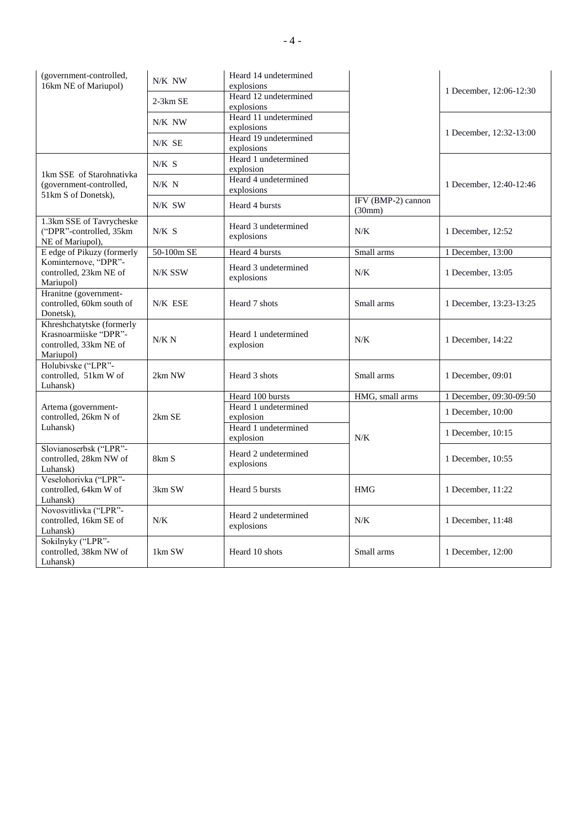| (government-controlled,<br>16km NE of Mariupol)                                           | N/K NW     | Heard 14 undetermined<br>explosions |                              |                         |
|-------------------------------------------------------------------------------------------|------------|-------------------------------------|------------------------------|-------------------------|
|                                                                                           | $2-3km$ SE | Heard 12 undetermined               |                              | 1 December, 12:06-12:30 |
|                                                                                           | N/K NW     | explosions<br>Heard 11 undetermined |                              |                         |
|                                                                                           |            | explosions<br>Heard 19 undetermined |                              | 1 December, 12:32-13:00 |
|                                                                                           | N/K SE     | explosions                          |                              |                         |
|                                                                                           | N/K S      | Heard 1 undetermined<br>explosion   |                              |                         |
| 1km SSE of Starohnativka<br>(government-controlled,<br>51km S of Donetsk),                | $N/K$ N    | Heard 4 undetermined<br>explosions  |                              | 1 December, 12:40-12:46 |
|                                                                                           | N/K SW     | Heard 4 bursts                      | IFV (BMP-2) cannon<br>(30mm) |                         |
| 1.3km SSE of Tavrycheske<br>("DPR"-controlled, 35km<br>NE of Mariupol),                   | $N/K$ S    | Heard 3 undetermined<br>explosions  | N/K                          | 1 December, 12:52       |
| E edge of Pikuzy (formerly                                                                | 50-100m SE | Heard 4 bursts                      | Small arms                   | 1 December, 13:00       |
| Kominternove, "DPR"-<br>controlled, 23km NE of<br>Mariupol)                               | N/K SSW    | Heard 3 undetermined<br>explosions  | N/K                          | 1 December, 13:05       |
| Hranitne (government-<br>controlled, 60km south of<br>Donetsk).                           | N/K ESE    | Heard 7 shots                       | Small arms                   | 1 December, 13:23-13:25 |
| Khreshchatytske (formerly<br>Krasnoarmiiske "DPR"-<br>controlled, 33km NE of<br>Mariupol) | N/K N      | Heard 1 undetermined<br>explosion   | N/K                          | 1 December, 14:22       |
| Holubivske ("LPR"-<br>controlled, 51km W of<br>Luhansk)                                   | 2km NW     | Heard 3 shots                       | Small arms                   | 1 December, 09:01       |
|                                                                                           |            | Heard 100 bursts                    | HMG, small arms              | 1 December, 09:30-09:50 |
| Artema (government-<br>controlled, 26km N of<br>Luhansk)                                  | 2km SE     | Heard 1 undetermined<br>explosion   | N/K                          | 1 December, 10:00       |
|                                                                                           |            | Heard 1 undetermined<br>explosion   |                              | 1 December, 10:15       |
| Slovianoserbsk ("LPR"-<br>controlled, 28km NW of<br>Luhansk)                              | 8km S      | Heard 2 undetermined<br>explosions  |                              | 1 December, 10:55       |
| Veselohorivka ("LPR"-<br>controlled, 64km W of<br>Luhansk)                                | 3km SW     | Heard 5 bursts                      | <b>HMG</b>                   | 1 December, 11:22       |
| Novosvitlivka ("LPR"-<br>controlled, 16km SE of<br>Luhansk)                               | N/K        | Heard 2 undetermined<br>explosions  | N/K                          | 1 December, 11:48       |
| Sokilnyky ("LPR"-<br>controlled, 38km NW of<br>Luhansk)                                   | 1km SW     | Heard 10 shots                      | Small arms                   | 1 December, 12:00       |